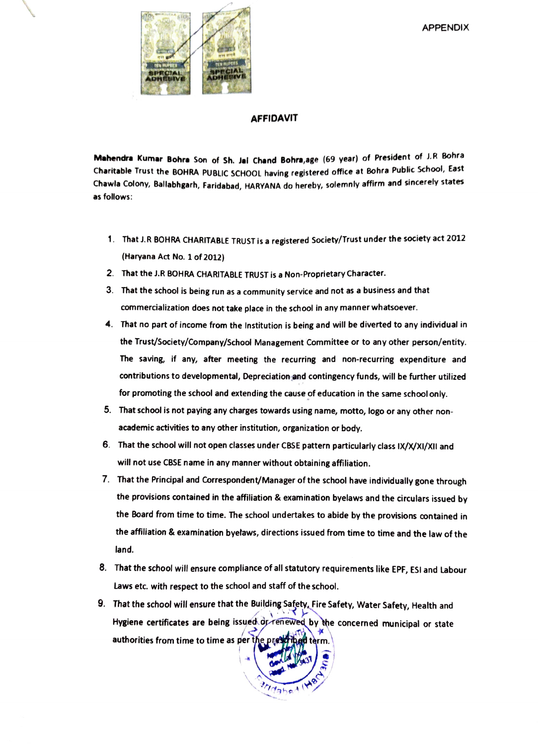

## AFFIDAVIT

Mahendra Kumar Bohre Son of Sh. Jal Chand Bohra,age (69 year) of President of J.R Bohra Charitable Trust the BOHRA PUBLIC SCHOOL having registered office at Bohra Public Schoo, East Chawla Colony, Ballabhgarh, Faridabad, HARYANA do hereby, solemnly affrm and sincerely states as follows:

- 1. That J.R BOHRA CHARITABLE TRUST is a registered Society/Trust under the society act 2012 (Haryana Act No. 1 of 2012)
- 2. That the J.R BOHRA CHARITABLE TRUST is a Non-Proprietary Character
- 3. That the school is being run as a community service and not as a business and that commercialization does not take place in the school in any manner whatsoever.
- 4. That no part of income from the Institution is being and will be diverted to any individual in the Trust/Society/Company/School Management Committee or to any other person/entity The saving, if any, after meeting the recurring and non-recurring expenditure and contributions to developmental, Depreciation and contingency funds, will be further utilized for promoting the school and extending the cause of education in the same school only.
- 5. That school is not paying any charges towards using name, motto, logo or any other nonacademic activities to any other institution, organization or body.
- 6. That the school will not open classes under CBSE pattern particularly class IX/X/XI/XII and will not use CBSE name in any manner without obtaining affiliation.
- 7. That the Principal and Correspondent/Manager of the school have individually gone through the provisions contained in the affiliation & examination byelaws and the circulars issued by the Board from time to time. The school undertakes to abide by the provisions contained in the affiliation & examination byetaws, directions issued from time to time and the law of the land.
- 8. That the school will ensure compliance of all statutory requirements like EPF, ESI and Labour Laws etc. with respect to the school and staff of the school.
- 9. That the school will ensure that the Building Safety, Fire Safety, Water Safety, Health and Hygiene certificates are being issued dreinewed by the concerned municipal or state authorities from time to time as per the prescriped term.